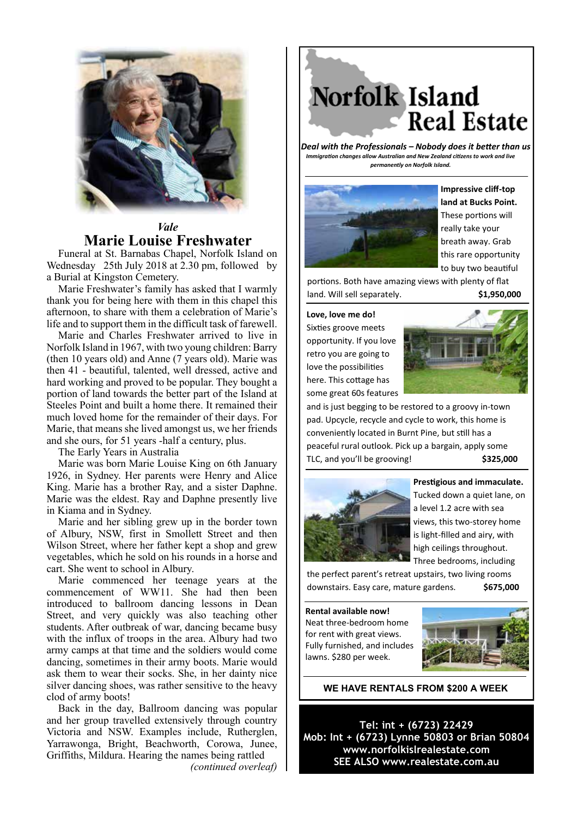

## *Vale* **Marie Louise Freshwater**

Funeral at St. Barnabas Chapel, Norfolk Island on Wednesday 25th July 2018 at 2.30 pm, followed by a Burial at Kingston Cemetery.

Marie Freshwater's family has asked that I warmly thank you for being here with them in this chapel this afternoon, to share with them a celebration of Marie's life and to support them in the difficult task of farewell.

Marie and Charles Freshwater arrived to live in Norfolk Island in 1967, with two young children: Barry (then 10 years old) and Anne (7 years old). Marie was then 41 - beautiful, talented, well dressed, active and hard working and proved to be popular. They bought a portion of land towards the better part of the Island at Steeles Point and built a home there. It remained their much loved home for the remainder of their days. For Marie, that means she lived amongst us, we her friends and she ours, for 51 years -half a century, plus.

The Early Years in Australia

Marie was born Marie Louise King on 6th January 1926, in Sydney. Her parents were Henry and Alice King. Marie has a brother Ray, and a sister Daphne. Marie was the eldest. Ray and Daphne presently live in Kiama and in Sydney.

Marie and her sibling grew up in the border town of Albury, NSW, first in Smollett Street and then Wilson Street, where her father kept a shop and grew vegetables, which he sold on his rounds in a horse and cart. She went to school in Albury.

Marie commenced her teenage years at the commencement of WW11. She had then been introduced to ballroom dancing lessons in Dean Street, and very quickly was also teaching other students. After outbreak of war, dancing became busy with the influx of troops in the area. Albury had two army camps at that time and the soldiers would come dancing, sometimes in their army boots. Marie would ask them to wear their socks. She, in her dainty nice silver dancing shoes, was rather sensitive to the heavy clod of army boots!

Back in the day, Ballroom dancing was popular and her group travelled extensively through country Victoria and NSW. Examples include, Rutherglen, Yarrawonga, Bright, Beachworth, Corowa, Junee, Griffiths, Mildura. Hearing the names being rattled *(continued overleaf)*

Norfolk Island **Real Estate** 

*Deal with the Professionals – Nobody does it better than us Immigration changes allow Australian and New Zealand citizens to work and live permanently on Norfolk Island.*



**Impressive cliff-top land at Bucks Point.**  These portions will really take your breath away. Grab this rare opportunity to buy two beautiful

portions. Both have amazing views with plenty of flat land. Will sell separately. **\$1,950,000** 

**Love, love me do!** 

Sixties groove meets opportunity. If you love retro you are going to love the possibilities here. This cottage has some great 60s features



and is just begging to be restored to a groovy in-town pad. Upcycle, recycle and cycle to work, this home is conveniently located in Burnt Pine, but still has a peaceful rural outlook. Pick up a bargain, apply some TLC, and you'll be grooving! **\$325,000** 



**Prestigious and immaculate.** Tucked down a quiet lane, on a level 1.2 acre with sea views, this two-storey home is light-filled and airy, with high ceilings throughout. Three bedrooms, including

the perfect parent's retreat upstairs, two living rooms downstairs. Easy care, mature gardens. **\$675,000**

**Rental available now!** Neat three-bedroom home for rent with great views. Fully furnished, and includes lawns. \$280 per week.



**WE HAVE RENTALS FROM \$200 A WEEK**

**Tel: int + (6723) 22429 Mob: Int + (6723) Lynne 50803 or Brian 50804 www.norfolkislrealestate.com SEE ALSO www.realestate.com.au**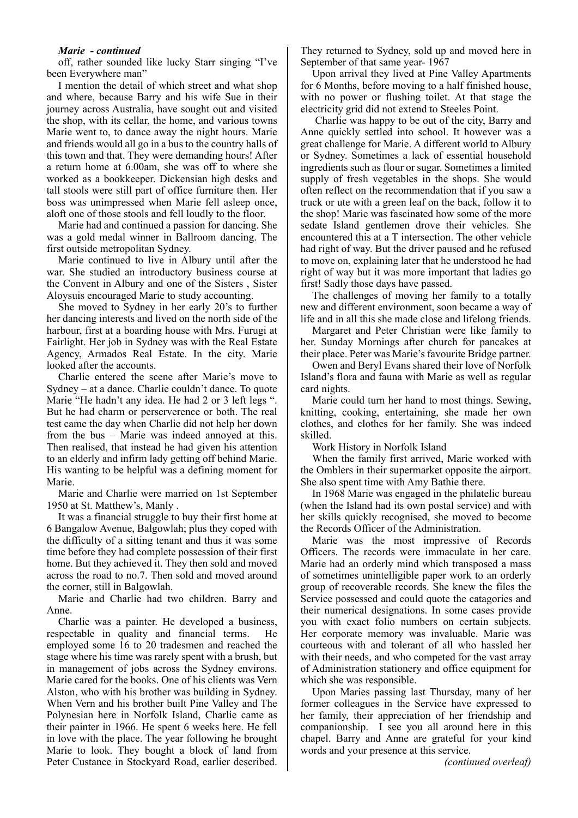## *Marie - continued*

off, rather sounded like lucky Starr singing "I've been Everywhere man"

I mention the detail of which street and what shop and where, because Barry and his wife Sue in their journey across Australia, have sought out and visited the shop, with its cellar, the home, and various towns Marie went to, to dance away the night hours. Marie and friends would all go in a bus to the country halls of this town and that. They were demanding hours! After a return home at 6.00am, she was off to where she worked as a bookkeeper. Dickensian high desks and tall stools were still part of office furniture then. Her boss was unimpressed when Marie fell asleep once, aloft one of those stools and fell loudly to the floor.

Marie had and continued a passion for dancing. She was a gold medal winner in Ballroom dancing. The first outside metropolitan Sydney.

Marie continued to live in Albury until after the war. She studied an introductory business course at the Convent in Albury and one of the Sisters , Sister Aloysuis encouraged Marie to study accounting.

She moved to Sydney in her early 20's to further her dancing interests and lived on the north side of the harbour, first at a boarding house with Mrs. Furugi at Fairlight. Her job in Sydney was with the Real Estate Agency, Armados Real Estate. In the city. Marie looked after the accounts.

Charlie entered the scene after Marie's move to Sydney – at a dance. Charlie couldn't dance. To quote Marie "He hadn't any idea. He had 2 or 3 left legs ". But he had charm or perserverence or both. The real test came the day when Charlie did not help her down from the bus – Marie was indeed annoyed at this. Then realised, that instead he had given his attention to an elderly and infirm lady getting off behind Marie. His wanting to be helpful was a defining moment for Marie.

Marie and Charlie were married on 1st September 1950 at St. Matthew's, Manly .

It was a financial struggle to buy their first home at 6 Bangalow Avenue, Balgowlah; plus they coped with the difficulty of a sitting tenant and thus it was some time before they had complete possession of their first home. But they achieved it. They then sold and moved across the road to no.7. Then sold and moved around the corner, still in Balgowlah.

Marie and Charlie had two children. Barry and Anne.

Charlie was a painter. He developed a business, respectable in quality and financial terms. He employed some 16 to 20 tradesmen and reached the stage where his time was rarely spent with a brush, but in management of jobs across the Sydney environs. Marie cared for the books. One of his clients was Vern Alston, who with his brother was building in Sydney. When Vern and his brother built Pine Valley and The Polynesian here in Norfolk Island, Charlie came as their painter in 1966. He spent 6 weeks here. He fell in love with the place. The year following he brought Marie to look. They bought a block of land from Peter Custance in Stockyard Road, earlier described.

They returned to Sydney, sold up and moved here in September of that same year- 1967

Upon arrival they lived at Pine Valley Apartments for 6 Months, before moving to a half finished house, with no power or flushing toilet. At that stage the electricity grid did not extend to Steeles Point.

 Charlie was happy to be out of the city, Barry and Anne quickly settled into school. It however was a great challenge for Marie. A different world to Albury or Sydney. Sometimes a lack of essential household ingredients such as flour or sugar. Sometimes a limited supply of fresh vegetables in the shops. She would often reflect on the recommendation that if you saw a truck or ute with a green leaf on the back, follow it to the shop! Marie was fascinated how some of the more sedate Island gentlemen drove their vehicles. She encountered this at a T intersection. The other vehicle had right of way. But the driver paused and he refused to move on, explaining later that he understood he had right of way but it was more important that ladies go first! Sadly those days have passed.

The challenges of moving her family to a totally new and different environment, soon became a way of life and in all this she made close and lifelong friends.

Margaret and Peter Christian were like family to her. Sunday Mornings after church for pancakes at their place. Peter was Marie's favourite Bridge partner.

Owen and Beryl Evans shared their love of Norfolk Island's flora and fauna with Marie as well as regular card nights.

Marie could turn her hand to most things. Sewing, knitting, cooking, entertaining, she made her own clothes, and clothes for her family. She was indeed skilled.

Work History in Norfolk Island

When the family first arrived, Marie worked with the Omblers in their supermarket opposite the airport. She also spent time with Amy Bathie there.

In 1968 Marie was engaged in the philatelic bureau (when the Island had its own postal service) and with her skills quickly recognised, she moved to become the Records Officer of the Administration.

Marie was the most impressive of Records Officers. The records were immaculate in her care. Marie had an orderly mind which transposed a mass of sometimes unintelligible paper work to an orderly group of recoverable records. She knew the files the Service possessed and could quote the catagories and their numerical designations. In some cases provide you with exact folio numbers on certain subjects. Her corporate memory was invaluable. Marie was courteous with and tolerant of all who hassled her with their needs, and who competed for the vast array of Administration stationery and office equipment for which she was responsible.

Upon Maries passing last Thursday, many of her former colleagues in the Service have expressed to her family, their appreciation of her friendship and companionship. I see you all around here in this chapel. Barry and Anne are grateful for your kind words and your presence at this service.

*(continued overleaf)*